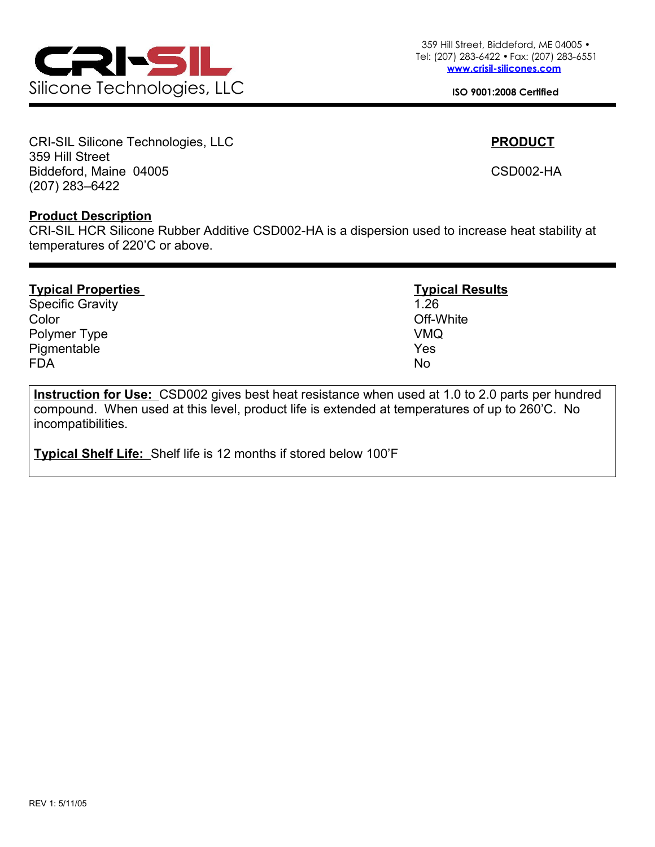

CRI-SIL Silicone Technologies, LLC **PRODUCT** 359 Hill Street Biddeford, Maine 04005 CSD002-HA (207) 283–6422

## **Product Description**

CRI-SIL HCR Silicone Rubber Additive CSD002-HA is a dispersion used to increase heat stability at temperatures of 220'C or above.

| <b>Typical Properties</b> | <b>Typical Results</b> |  |  |  |
|---------------------------|------------------------|--|--|--|
| <b>Specific Gravity</b>   | 1.26                   |  |  |  |
| Color                     | Off-White              |  |  |  |
| Polymer Type              | <b>VMQ</b>             |  |  |  |
| Pigmentable               | Yes                    |  |  |  |
| <b>FDA</b>                | <b>No</b>              |  |  |  |

**Instruction for Use:** CSD002 gives best heat resistance when used at 1.0 to 2.0 parts per hundred compound. When used at this level, product life is extended at temperatures of up to 260'C. No incompatibilities.

**Typical Shelf Life:** Shelf life is 12 months if stored below 100'F